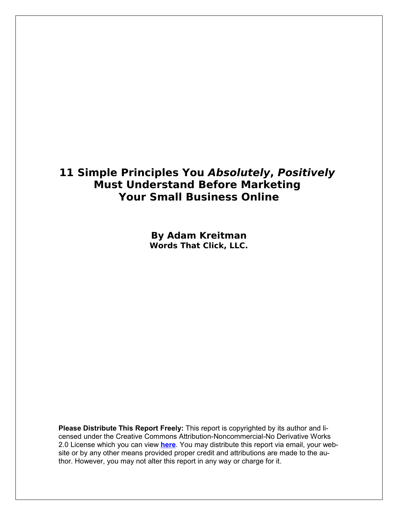## **11 Simple Principles You Absolutely, Positively Must Understand Before Marketing Your Small Business Online**

**By Adam Kreitman Words That Click, LLC.**

**Please Distribute This Report Freely:** This report is copyrighted by its author and licensed under the Creative Commons Attribution-Noncommercial-No Derivative Works 2.0 License which you can view **[here](http://creativecommons.org/licenses/by-nc-nd/2.0/)**. You may distribute this report via email, your website or by any other means provided proper credit and attributions are made to the author. However, you may not alter this report in any way or charge for it.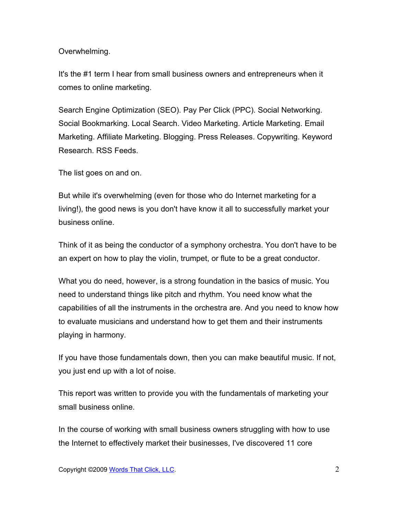Overwhelming.

It's the #1 term I hear from small business owners and entrepreneurs when it comes to online marketing.

Search Engine Optimization (SEO). Pay Per Click (PPC). Social Networking. Social Bookmarking. Local Search. Video Marketing. Article Marketing. Email Marketing. Affiliate Marketing. Blogging. Press Releases. Copywriting. Keyword Research. RSS Feeds.

The list goes on and on.

But while it's overwhelming (even for those who do Internet marketing for a living!), the good news is you don't have know it all to successfully market your business online.

Think of it as being the conductor of a symphony orchestra. You don't have to be an expert on how to play the violin, trumpet, or flute to be a great conductor.

What you do need, however, is a strong foundation in the basics of music. You need to understand things like pitch and rhythm. You need know what the capabilities of all the instruments in the orchestra are. And you need to know how to evaluate musicians and understand how to get them and their instruments playing in harmony.

If you have those fundamentals down, then you can make beautiful music. If not, you just end up with a lot of noise.

This report was written to provide you with the fundamentals of marketing your small business online.

In the course of working with small business owners struggling with how to use the Internet to effectively market their businesses, I've discovered 11 core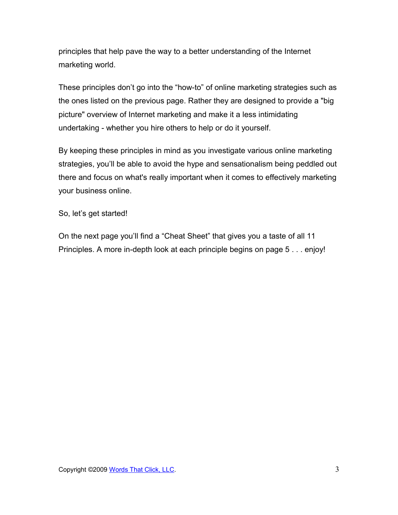principles that help pave the way to a better understanding of the Internet marketing world.

These principles don't go into the "how-to" of online marketing strategies such as the ones listed on the previous page. Rather they are designed to provide a "big picture" overview of Internet marketing and make it a less intimidating undertaking - whether you hire others to help or do it yourself.

By keeping these principles in mind as you investigate various online marketing strategies, you'll be able to avoid the hype and sensationalism being peddled out there and focus on what's really important when it comes to effectively marketing your business online.

So, let's get started!

On the next page you'll find a "Cheat Sheet" that gives you a taste of all 11 Principles. A more in-depth look at each principle begins on page 5 . . . enjoy!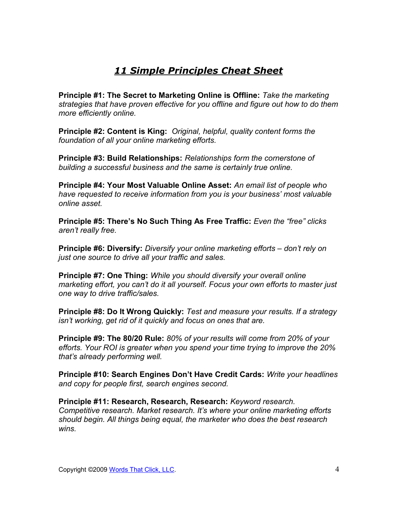## *11 Simple Principles Cheat Sheet*

**Principle #1: The Secret to Marketing Online is Offline:** *Take the marketing strategies that have proven effective for you offline and figure out how to do them more efficiently online.*

**Principle #2: Content is King:** *Original, helpful, quality content forms the foundation of all your online marketing efforts.*

**Principle #3: Build Relationships:** *Relationships form the cornerstone of building a successful business and the same is certainly true online.*

**Principle #4: Your Most Valuable Online Asset:** *An email list of people who have requested to receive information from you is your business' most valuable online asset.*

**Principle #5: There's No Such Thing As Free Traffic:** *Even the "free" clicks aren't really free.*

**Principle #6: Diversify:** *Diversify your online marketing efforts – don't rely on just one source to drive all your traffic and sales.*

**Principle #7: One Thing:** *While you should diversify your overall online marketing effort, you can't do it all yourself. Focus your own efforts to master just one way to drive traffic/sales.*

**Principle #8: Do It Wrong Quickly:** *Test and measure your results. If a strategy isn't working, get rid of it quickly and focus on ones that are.*

**Principle #9: The 80/20 Rule:** *80% of your results will come from 20% of your efforts. Your ROI is greater when you spend your time trying to improve the 20% that's already performing well.*

**Principle #10: Search Engines Don't Have Credit Cards:** *Write your headlines and copy for people first, search engines second.*

**Principle #11: Research, Research, Research:** *Keyword research. Competitive research. Market research. It's where your online marketing efforts should begin. All things being equal, the marketer who does the best research wins.*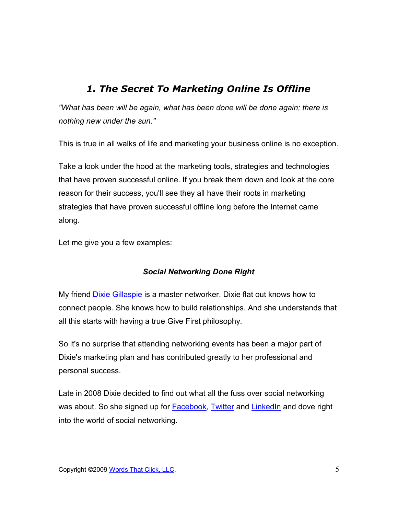## *1. The Secret To Marketing Online Is Offline*

*"What has been will be again, what has been done will be done again; there is nothing new under the sun."*

This is true in all walks of life and marketing your business online is no exception.

Take a look under the hood at the marketing tools, strategies and technologies that have proven successful online. If you break them down and look at the core reason for their success, you'll see they all have their roots in marketing strategies that have proven successful offline long before the Internet came along.

Let me give you a few examples:

### *Social Networking Done Right*

My friend **Dixie Gillaspie** is a master networker. Dixie flat out knows how to connect people. She knows how to build relationships. And she understands that all this starts with having a true Give First philosophy.

So it's no surprise that attending networking events has been a major part of Dixie's marketing plan and has contributed greatly to her professional and personal success.

Late in 2008 Dixie decided to find out what all the fuss over social networking was about. So she signed up for **Facebook, Twitter** and [LinkedIn](http://www.linkedin.com/in/dixiegillaspie) and dove right into the world of social networking.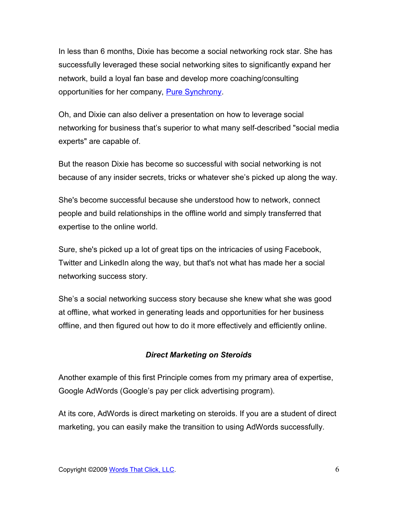In less than 6 months, Dixie has become a social networking rock star. She has successfully leveraged these social networking sites to significantly expand her network, build a loyal fan base and develop more coaching/consulting opportunities for her company, [Pure Synchrony.](http://puresynchrony.com/)

Oh, and Dixie can also deliver a presentation on how to leverage social networking for business that's superior to what many self-described "social media experts" are capable of.

But the reason Dixie has become so successful with social networking is not because of any insider secrets, tricks or whatever she's picked up along the way.

She's become successful because she understood how to network, connect people and build relationships in the offline world and simply transferred that expertise to the online world.

Sure, she's picked up a lot of great tips on the intricacies of using Facebook, Twitter and LinkedIn along the way, but that's not what has made her a social networking success story.

She's a social networking success story because she knew what she was good at offline, what worked in generating leads and opportunities for her business offline, and then figured out how to do it more effectively and efficiently online.

#### *Direct Marketing on Steroids*

Another example of this first Principle comes from my primary area of expertise, Google AdWords (Google's pay per click advertising program).

At its core, AdWords is direct marketing on steroids. If you are a student of direct marketing, you can easily make the transition to using AdWords successfully.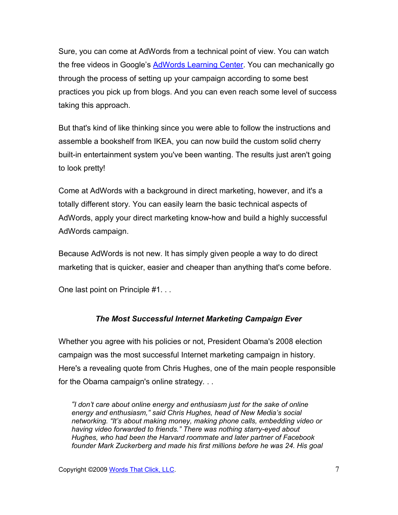Sure, you can come at AdWords from a technical point of view. You can watch the free videos in Google's [AdWords Learning Center.](http://www.google.com/adwords/learningcenter/) You can mechanically go through the process of setting up your campaign according to some best practices you pick up from blogs. And you can even reach some level of success taking this approach.

But that's kind of like thinking since you were able to follow the instructions and assemble a bookshelf from IKEA, you can now build the custom solid cherry built-in entertainment system you've been wanting. The results just aren't going to look pretty!

Come at AdWords with a background in direct marketing, however, and it's a totally different story. You can easily learn the basic technical aspects of AdWords, apply your direct marketing know-how and build a highly successful AdWords campaign.

Because AdWords is not new. It has simply given people a way to do direct marketing that is quicker, easier and cheaper than anything that's come before.

One last point on Principle #1. . .

#### *The Most Successful Internet Marketing Campaign Ever*

Whether you agree with his policies or not, President Obama's 2008 election campaign was the most successful Internet marketing campaign in history. Here's a revealing quote from Chris Hughes, one of the main people responsible for the Obama campaign's online strategy. . .

*"I don't care about online energy and enthusiasm just for the sake of online energy and enthusiasm," said Chris Hughes, head of New Media's social networking. "It's about making money, making phone calls, embedding video or having video forwarded to friends." There was nothing starry-eyed about Hughes, who had been the Harvard roommate and later partner of Facebook founder Mark Zuckerberg and made his first millions before he was 24. His goal*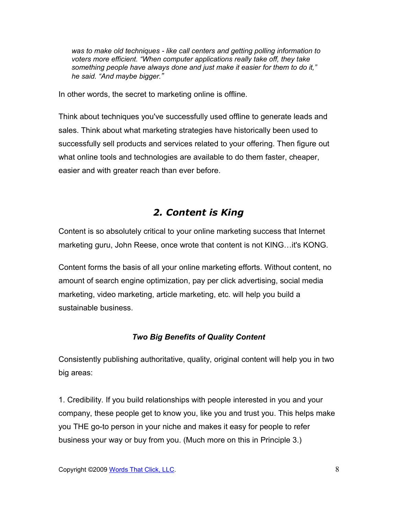*was to make old techniques - like call centers and getting polling information to voters more efficient. "When computer applications really take off, they take something people have always done and just make it easier for them to do it," he said. "And maybe bigger."*

In other words, the secret to marketing online is offline.

Think about techniques you've successfully used offline to generate leads and sales. Think about what marketing strategies have historically been used to successfully sell products and services related to your offering. Then figure out what online tools and technologies are available to do them faster, cheaper, easier and with greater reach than ever before.

## *2. Content is King*

Content is so absolutely critical to your online marketing success that Internet marketing guru, John Reese, once wrote that content is not KING…it's KONG.

Content forms the basis of all your online marketing efforts. Without content, no amount of search engine optimization, pay per click advertising, social media marketing, video marketing, article marketing, etc. will help you build a sustainable business.

### *Two Big Benefits of Quality Content*

Consistently publishing authoritative, quality, original content will help you in two big areas:

1. Credibility. If you build relationships with people interested in you and your company, these people get to know you, like you and trust you. This helps make you THE go-to person in your niche and makes it easy for people to refer business your way or buy from you. (Much more on this in Principle 3.)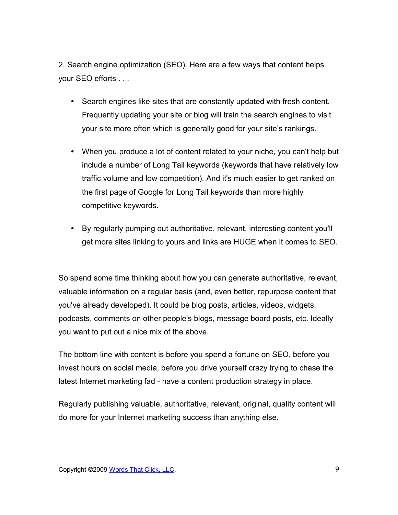2. Search engine optimization (SEO). Here are a few ways that content helps your SEO efforts . . .

- Search engines like sites that are constantly updated with fresh content. Frequently updating your site or blog will train the search engines to visit your site more often which is generally good for your site's rankings.
- When you produce a lot of content related to your niche, you can't help but include a number of Long Tail keywords (keywords that have relatively low traffic volume and low competition). And it's much easier to get ranked on the first page of Google for Long Tail keywords than more highly competitive keywords.
- By regularly pumping out authoritative, relevant, interesting content you'll get more sites linking to yours and links are HUGE when it comes to SEO.

So spend some time thinking about how you can generate authoritative, relevant, valuable information on a regular basis (and, even better, repurpose content that you've already developed). It could be blog posts, articles, videos, widgets, podcasts, comments on other people's blogs, message board posts, etc. Ideally you want to put out a nice mix of the above.

The bottom line with content is before you spend a fortune on SEO, before you invest hours on social media, before you drive yourself crazy trying to chase the latest Internet marketing fad - have a content production strategy in place.

Regularly publishing valuable, authoritative, relevant, original, quality content will do more for your Internet marketing success than anything else.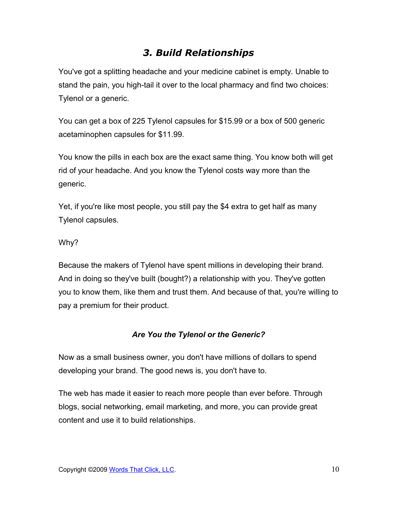## *3. Build Relationships*

You've got a splitting headache and your medicine cabinet is empty. Unable to stand the pain, you high-tail it over to the local pharmacy and find two choices: Tylenol or a generic.

You can get a box of 225 Tylenol capsules for \$15.99 or a box of 500 generic acetaminophen capsules for \$11.99.

You know the pills in each box are the exact same thing. You know both will get rid of your headache. And you know the Tylenol costs way more than the generic.

Yet, if you're like most people, you still pay the \$4 extra to get half as many Tylenol capsules.

### Why?

Because the makers of Tylenol have spent millions in developing their brand. And in doing so they've built (bought?) a relationship with you. They've gotten you to know them, like them and trust them. And because of that, you're willing to pay a premium for their product.

### *Are You the Tylenol or the Generic?*

Now as a small business owner, you don't have millions of dollars to spend developing your brand. The good news is, you don't have to.

The web has made it easier to reach more people than ever before. Through blogs, social networking, email marketing, and more, you can provide great content and use it to build relationships.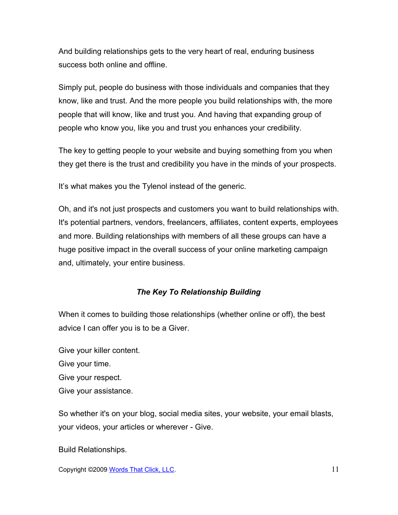And building relationships gets to the very heart of real, enduring business success both online and offline.

Simply put, people do business with those individuals and companies that they know, like and trust. And the more people you build relationships with, the more people that will know, like and trust you. And having that expanding group of people who know you, like you and trust you enhances your credibility.

The key to getting people to your website and buying something from you when they get there is the trust and credibility you have in the minds of your prospects.

It's what makes you the Tylenol instead of the generic.

Oh, and it's not just prospects and customers you want to build relationships with. It's potential partners, vendors, freelancers, affiliates, content experts, employees and more. Building relationships with members of all these groups can have a huge positive impact in the overall success of your online marketing campaign and, ultimately, your entire business.

#### *The Key To Relationship Building*

When it comes to building those relationships (whether online or off), the best advice I can offer you is to be a Giver.

Give your killer content. Give your time. Give your respect. Give your assistance.

So whether it's on your blog, social media sites, your website, your email blasts, your videos, your articles or wherever - Give.

Build Relationships.

Copyright ©2009 [Words That Click, LLC.](http://www.wordsthatclick.net/) 11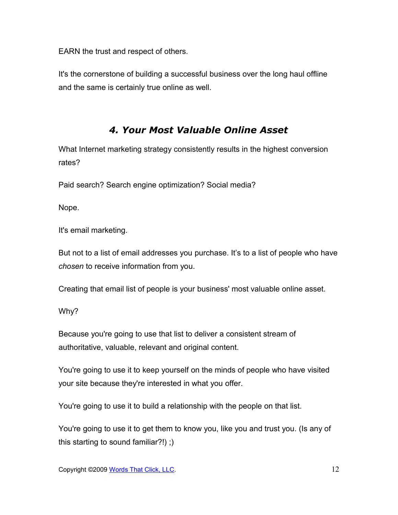EARN the trust and respect of others.

It's the cornerstone of building a successful business over the long haul offline and the same is certainly true online as well.

### *4. Your Most Valuable Online Asset*

What Internet marketing strategy consistently results in the highest conversion rates?

Paid search? Search engine optimization? Social media?

Nope.

It's email marketing.

But not to a list of email addresses you purchase. It's to a list of people who have *chosen* to receive information from you.

Creating that email list of people is your business' most valuable online asset.

Why?

Because you're going to use that list to deliver a consistent stream of authoritative, valuable, relevant and original content.

You're going to use it to keep yourself on the minds of people who have visited your site because they're interested in what you offer.

You're going to use it to build a relationship with the people on that list.

You're going to use it to get them to know you, like you and trust you. (Is any of this starting to sound familiar?!) ;)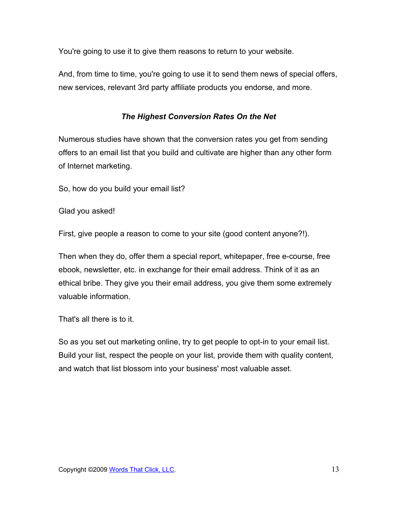You're going to use it to give them reasons to return to your website.

And, from time to time, you're going to use it to send them news of special offers, new services, relevant 3rd party affiliate products you endorse, and more.

### *The Highest Conversion Rates On the Net*

Numerous studies have shown that the conversion rates you get from sending offers to an email list that you build and cultivate are higher than any other form of Internet marketing.

So, how do you build your email list?

Glad you asked!

First, give people a reason to come to your site (good content anyone?!).

Then when they do, offer them a special report, whitepaper, free e-course, free ebook, newsletter, etc. in exchange for their email address. Think of it as an ethical bribe. They give you their email address, you give them some extremely valuable information.

That's all there is to it.

So as you set out marketing online, try to get people to opt-in to your email list. Build your list, respect the people on your list, provide them with quality content, and watch that list blossom into your business' most valuable asset.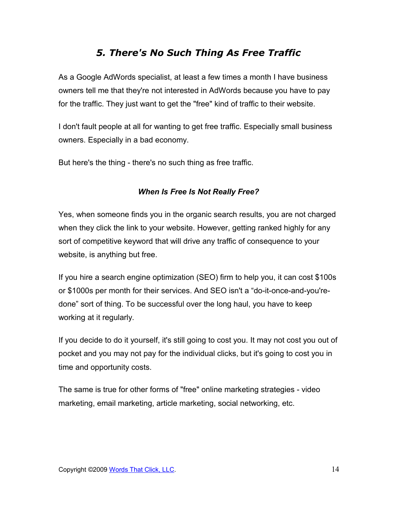## *5. There's No Such Thing As Free Traffic*

As a Google AdWords specialist, at least a few times a month I have business owners tell me that they're not interested in AdWords because you have to pay for the traffic. They just want to get the "free" kind of traffic to their website.

I don't fault people at all for wanting to get free traffic. Especially small business owners. Especially in a bad economy.

But here's the thing - there's no such thing as free traffic.

### *When Is Free Is Not Really Free?*

Yes, when someone finds you in the organic search results, you are not charged when they click the link to your website. However, getting ranked highly for any sort of competitive keyword that will drive any traffic of consequence to your website, is anything but free.

If you hire a search engine optimization (SEO) firm to help you, it can cost \$100s or \$1000s per month for their services. And SEO isn't a "do-it-once-and-you'redone" sort of thing. To be successful over the long haul, you have to keep working at it regularly.

If you decide to do it yourself, it's still going to cost you. It may not cost you out of pocket and you may not pay for the individual clicks, but it's going to cost you in time and opportunity costs.

The same is true for other forms of "free" online marketing strategies - video marketing, email marketing, article marketing, social networking, etc.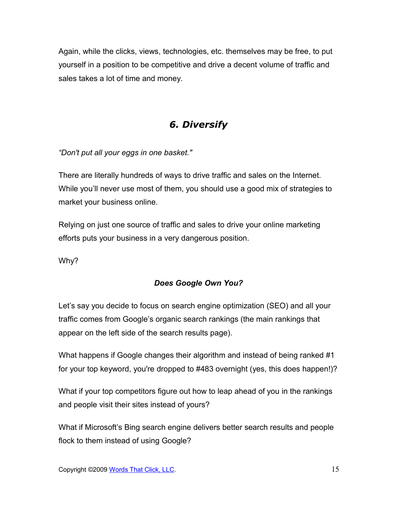Again, while the clicks, views, technologies, etc. themselves may be free, to put yourself in a position to be competitive and drive a decent volume of traffic and sales takes a lot of time and money.

# *6. Diversify*

*"Don't put all your eggs in one basket."*

There are literally hundreds of ways to drive traffic and sales on the Internet. While you'll never use most of them, you should use a good mix of strategies to market your business online.

Relying on just one source of traffic and sales to drive your online marketing efforts puts your business in a very dangerous position.

Why?

### *Does Google Own You?*

Let's say you decide to focus on search engine optimization (SEO) and all your traffic comes from Google's organic search rankings (the main rankings that appear on the left side of the search results page).

What happens if Google changes their algorithm and instead of being ranked #1 for your top keyword, you're dropped to #483 overnight (yes, this does happen!)?

What if your top competitors figure out how to leap ahead of you in the rankings and people visit their sites instead of yours?

What if Microsoft's Bing search engine delivers better search results and people flock to them instead of using Google?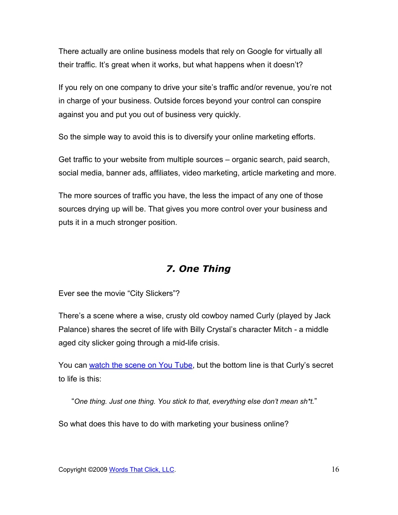There actually are online business models that rely on Google for virtually all their traffic. It's great when it works, but what happens when it doesn't?

If you rely on one company to drive your site's traffic and/or revenue, you're not in charge of your business. Outside forces beyond your control can conspire against you and put you out of business very quickly.

So the simple way to avoid this is to diversify your online marketing efforts.

Get traffic to your website from multiple sources – organic search, paid search, social media, banner ads, affiliates, video marketing, article marketing and more.

The more sources of traffic you have, the less the impact of any one of those sources drying up will be. That gives you more control over your business and puts it in a much stronger position.

## *7. One Thing*

Ever see the movie "City Slickers"?

There's a scene where a wise, crusty old cowboy named Curly (played by Jack Palance) shares the secret of life with Billy Crystal's character Mitch - a middle aged city slicker going through a mid-life crisis.

You can [watch the scene on You Tube,](http://www.youtube.com/watch?v=2k1uOqRb0HU) but the bottom line is that Curly's secret to life is this:

"*One thing. Just one thing. You stick to that, everything else don't mean sh\*t.*"

So what does this have to do with marketing your business online?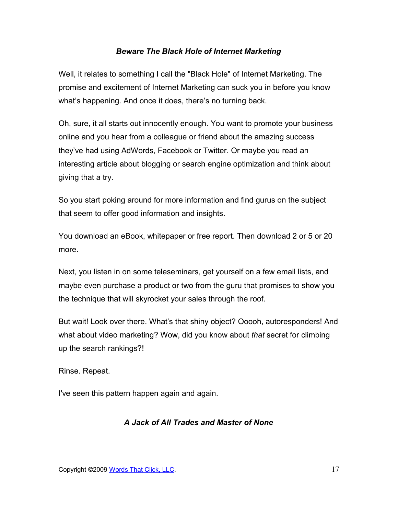#### *Beware The Black Hole of Internet Marketing*

Well, it relates to something I call the "Black Hole" of Internet Marketing. The promise and excitement of Internet Marketing can suck you in before you know what's happening. And once it does, there's no turning back.

Oh, sure, it all starts out innocently enough. You want to promote your business online and you hear from a colleague or friend about the amazing success they've had using AdWords, Facebook or Twitter. Or maybe you read an interesting article about blogging or search engine optimization and think about giving that a try.

So you start poking around for more information and find gurus on the subject that seem to offer good information and insights.

You download an eBook, whitepaper or free report. Then download 2 or 5 or 20 more.

Next, you listen in on some teleseminars, get yourself on a few email lists, and maybe even purchase a product or two from the guru that promises to show you the technique that will skyrocket your sales through the roof.

But wait! Look over there. What's that shiny object? Ooooh, autoresponders! And what about video marketing? Wow, did you know about *that* secret for climbing up the search rankings?!

Rinse. Repeat.

I've seen this pattern happen again and again.

### *A Jack of All Trades and Master of None*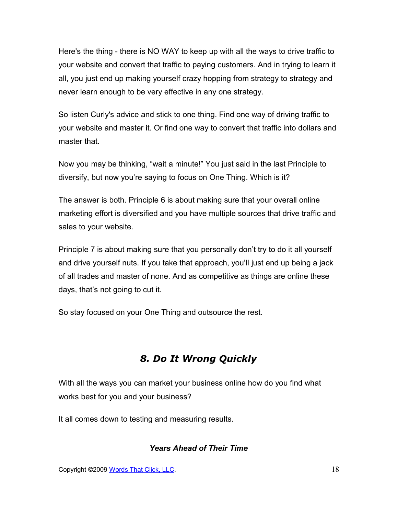Here's the thing - there is NO WAY to keep up with all the ways to drive traffic to your website and convert that traffic to paying customers. And in trying to learn it all, you just end up making yourself crazy hopping from strategy to strategy and never learn enough to be very effective in any one strategy.

So listen Curly's advice and stick to one thing. Find one way of driving traffic to your website and master it. Or find one way to convert that traffic into dollars and master that.

Now you may be thinking, "wait a minute!" You just said in the last Principle to diversify, but now you're saying to focus on One Thing. Which is it?

The answer is both. Principle 6 is about making sure that your overall online marketing effort is diversified and you have multiple sources that drive traffic and sales to your website.

Principle 7 is about making sure that you personally don't try to do it all yourself and drive yourself nuts. If you take that approach, you'll just end up being a jack of all trades and master of none. And as competitive as things are online these days, that's not going to cut it.

So stay focused on your One Thing and outsource the rest.

## *8. Do It Wrong Quickly*

With all the ways you can market your business online how do you find what works best for you and your business?

It all comes down to testing and measuring results.

#### *Years Ahead of Their Time*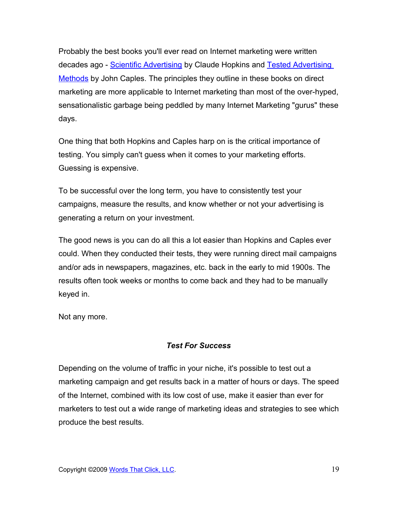Probably the best books you'll ever read on Internet marketing were written decades ago - [Scientific Advertising](http://www.amazon.com/Scientific-Advertising-Claude-C-Hopkins/dp/1434102467/ref=sr_1_1?ie=UTF8&s=books&qid=1244069012&sr=8-1) by Claude Hopkins and [Tested Advertising](http://www.amazon.com/Advertising-Methods-Prentice-Business-Classics/dp/0130957011/ref=sr_1_1?ie=UTF8&s=books&qid=1244069043&sr=1-1) [Methods](http://www.amazon.com/Advertising-Methods-Prentice-Business-Classics/dp/0130957011/ref=sr_1_1?ie=UTF8&s=books&qid=1244069043&sr=1-1) by John Caples. The principles they outline in these books on direct marketing are more applicable to Internet marketing than most of the over-hyped, sensationalistic garbage being peddled by many Internet Marketing "gurus" these days.

One thing that both Hopkins and Caples harp on is the critical importance of testing. You simply can't guess when it comes to your marketing efforts. Guessing is expensive.

To be successful over the long term, you have to consistently test your campaigns, measure the results, and know whether or not your advertising is generating a return on your investment.

The good news is you can do all this a lot easier than Hopkins and Caples ever could. When they conducted their tests, they were running direct mail campaigns and/or ads in newspapers, magazines, etc. back in the early to mid 1900s. The results often took weeks or months to come back and they had to be manually keyed in.

Not any more.

### *Test For Success*

Depending on the volume of traffic in your niche, it's possible to test out a marketing campaign and get results back in a matter of hours or days. The speed of the Internet, combined with its low cost of use, make it easier than ever for marketers to test out a wide range of marketing ideas and strategies to see which produce the best results.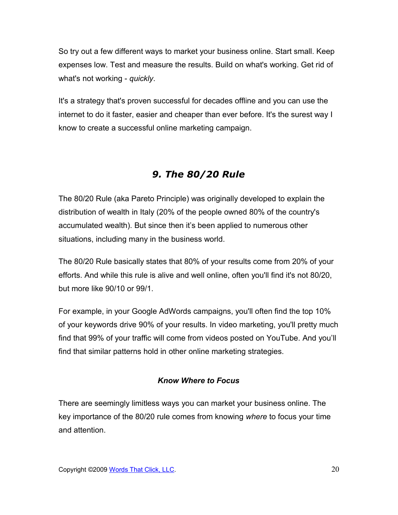So try out a few different ways to market your business online. Start small. Keep expenses low. Test and measure the results. Build on what's working. Get rid of what's not working - *quickly*.

It's a strategy that's proven successful for decades offline and you can use the internet to do it faster, easier and cheaper than ever before. It's the surest way I know to create a successful online marketing campaign.

# *9. The 80/20 Rule*

The 80/20 Rule (aka Pareto Principle) was originally developed to explain the distribution of wealth in Italy (20% of the people owned 80% of the country's accumulated wealth). But since then it's been applied to numerous other situations, including many in the business world.

The 80/20 Rule basically states that 80% of your results come from 20% of your efforts. And while this rule is alive and well online, often you'll find it's not 80/20, but more like 90/10 or 99/1.

For example, in your Google AdWords campaigns, you'll often find the top 10% of your keywords drive 90% of your results. In video marketing, you'll pretty much find that 99% of your traffic will come from videos posted on YouTube. And you'll find that similar patterns hold in other online marketing strategies.

### *Know Where to Focus*

There are seemingly limitless ways you can market your business online. The key importance of the 80/20 rule comes from knowing *where* to focus your time and attention.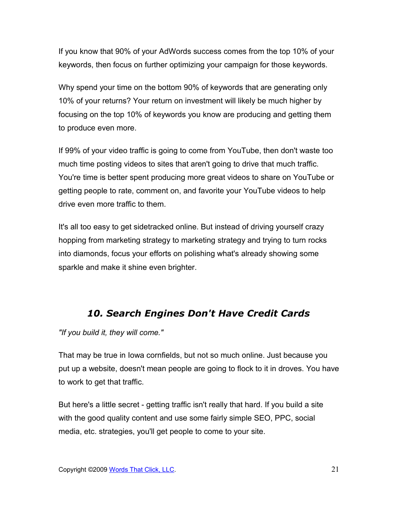If you know that 90% of your AdWords success comes from the top 10% of your keywords, then focus on further optimizing your campaign for those keywords.

Why spend your time on the bottom 90% of keywords that are generating only 10% of your returns? Your return on investment will likely be much higher by focusing on the top 10% of keywords you know are producing and getting them to produce even more.

If 99% of your video traffic is going to come from YouTube, then don't waste too much time posting videos to sites that aren't going to drive that much traffic. You're time is better spent producing more great videos to share on YouTube or getting people to rate, comment on, and favorite your YouTube videos to help drive even more traffic to them.

It's all too easy to get sidetracked online. But instead of driving yourself crazy hopping from marketing strategy to marketing strategy and trying to turn rocks into diamonds, focus your efforts on polishing what's already showing some sparkle and make it shine even brighter.

## *10. Search Engines Don't Have Credit Cards*

*"If you build it, they will come."*

That may be true in Iowa cornfields, but not so much online. Just because you put up a website, doesn't mean people are going to flock to it in droves. You have to work to get that traffic.

But here's a little secret - getting traffic isn't really that hard. If you build a site with the good quality content and use some fairly simple SEO, PPC, social media, etc. strategies, you'll get people to come to your site.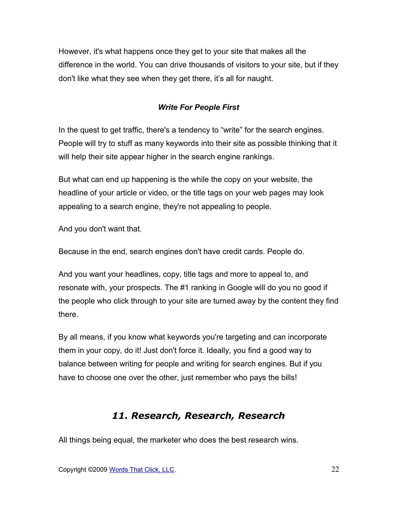However, it's what happens once they get to your site that makes all the difference in the world. You can drive thousands of visitors to your site, but if they don't like what they see when they get there, it's all for naught.

### *Write For People First*

In the quest to get traffic, there's a tendency to "write" for the search engines. People will try to stuff as many keywords into their site as possible thinking that it will help their site appear higher in the search engine rankings.

But what can end up happening is the while the copy on your website, the headline of your article or video, or the title tags on your web pages may look appealing to a search engine, they're not appealing to people.

And you don't want that.

Because in the end, search engines don't have credit cards. People do.

And you want your headlines, copy, title tags and more to appeal to, and resonate with, your prospects. The #1 ranking in Google will do you no good if the people who click through to your site are turned away by the content they find there.

By all means, if you know what keywords you're targeting and can incorporate them in your copy, do it! Just don't force it. Ideally, you find a good way to balance between writing for people and writing for search engines. But if you have to choose one over the other, just remember who pays the bills!

## *11. Research, Research, Research*

All things being equal, the marketer who does the best research wins.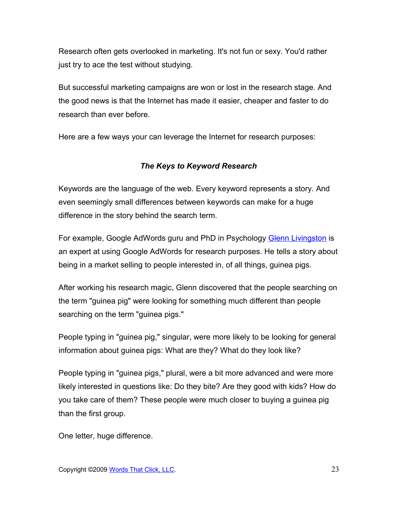Research often gets overlooked in marketing. It's not fun or sexy. You'd rather just try to ace the test without studying.

But successful marketing campaigns are won or lost in the research stage. And the good news is that the Internet has made it easier, cheaper and faster to do research than ever before.

Here are a few ways your can leverage the Internet for research purposes:

### *The Keys to Keyword Research*

Keywords are the language of the web. Every keyword represents a story. And even seemingly small differences between keywords can make for a huge difference in the story behind the search term.

For example, Google AdWords guru and PhD in Psychology [Glenn Livingston](http://www.payperclicksearchmarketing.com/r/a.php?NTQ4e) is an expert at using Google AdWords for research purposes. He tells a story about being in a market selling to people interested in, of all things, guinea pigs.

After working his research magic, Glenn discovered that the people searching on the term "guinea pig" were looking for something much different than people searching on the term "guinea pigs."

People typing in "guinea pig," singular, were more likely to be looking for general information about guinea pigs: What are they? What do they look like?

People typing in "guinea pigs," plural, were a bit more advanced and were more likely interested in questions like: Do they bite? Are they good with kids? How do you take care of them? These people were much closer to buying a guinea pig than the first group.

One letter, huge difference.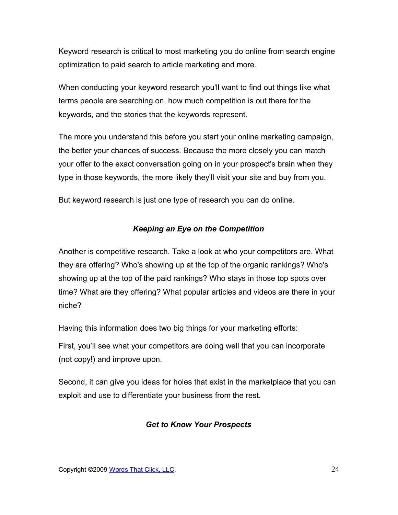Keyword research is critical to most marketing you do online from search engine optimization to paid search to article marketing and more.

When conducting your keyword research you'll want to find out things like what terms people are searching on, how much competition is out there for the keywords, and the stories that the keywords represent.

The more you understand this before you start your online marketing campaign, the better your chances of success. Because the more closely you can match your offer to the exact conversation going on in your prospect's brain when they type in those keywords, the more likely they'll visit your site and buy from you.

But keyword research is just one type of research you can do online.

### *Keeping an Eye on the Competition*

Another is competitive research. Take a look at who your competitors are. What they are offering? Who's showing up at the top of the organic rankings? Who's showing up at the top of the paid rankings? Who stays in those top spots over time? What are they offering? What popular articles and videos are there in your niche?

Having this information does two big things for your marketing efforts:

First, you'll see what your competitors are doing well that you can incorporate (not copy!) and improve upon.

Second, it can give you ideas for holes that exist in the marketplace that you can exploit and use to differentiate your business from the rest.

#### *Get to Know Your Prospects*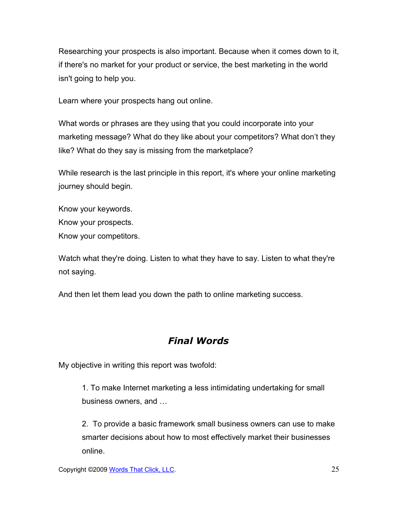Researching your prospects is also important. Because when it comes down to it, if there's no market for your product or service, the best marketing in the world isn't going to help you.

Learn where your prospects hang out online.

What words or phrases are they using that you could incorporate into your marketing message? What do they like about your competitors? What don't they like? What do they say is missing from the marketplace?

While research is the last principle in this report, it's where your online marketing journey should begin.

Know your keywords. Know your prospects. Know your competitors.

Watch what they're doing. Listen to what they have to say. Listen to what they're not saying.

And then let them lead you down the path to online marketing success.

# *Final Words*

My objective in writing this report was twofold:

1. To make Internet marketing a less intimidating undertaking for small business owners, and …

2. To provide a basic framework small business owners can use to make smarter decisions about how to most effectively market their businesses online.